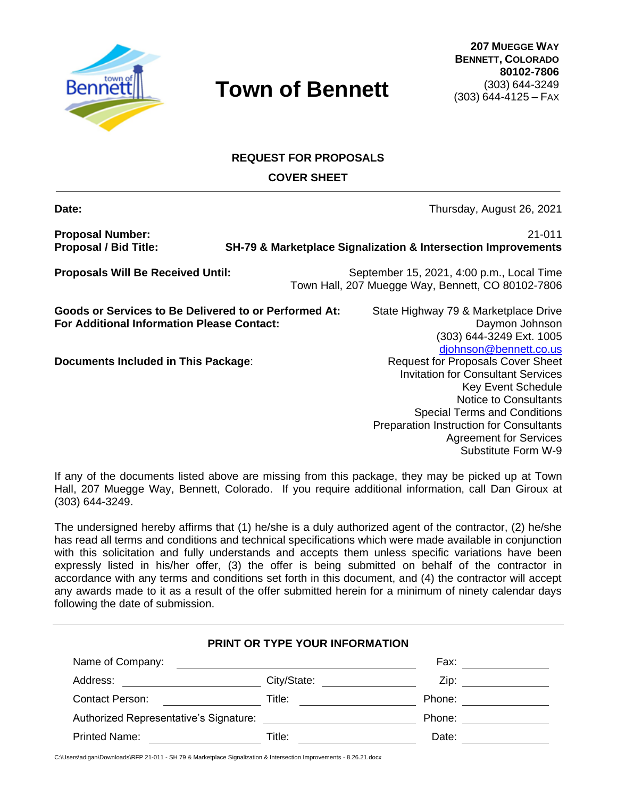

# **REQUEST FOR PROPOSALS**

**COVER SHEET**

**Date: Date: Date: Date: Date: Date: Date: Date: Date: Date: Date: Date: Date: Date: Date: Date: Date: Date: Date: Date: Date: Date: Date: Date: Date: Date: Date: Date:** 

**Proposal Number:** 21-011

**Proposal / Bid Title: SH-79 & Marketplace Signalization & Intersection Improvements**

**Proposals Will Be Received Until:** September 15, 2021, 4:00 p.m., Local Time Town Hall, 207 Muegge Way, Bennett, CO 80102-7806

**Goods or Services to Be Delivered to or Performed At:** State Highway 79 & Marketplace Drive **For Additional Information Please Contact:** Daymon Johnson Daymon Johnson

**Documents Included in This Package:** Request for Proposals Cover Sheet

(303) 644-3249 Ext. 1005 [djohnson@bennett.co.us](mailto:djohnson@bennett.co.us) Invitation for Consultant Services Key Event Schedule Notice to Consultants Special Terms and Conditions Preparation Instruction for Consultants Agreement for Services Substitute Form W-9

If any of the documents listed above are missing from this package, they may be picked up at Town Hall, 207 Muegge Way, Bennett, Colorado. If you require additional information, call Dan Giroux at (303) 644-3249.

The undersigned hereby affirms that (1) he/she is a duly authorized agent of the contractor, (2) he/she has read all terms and conditions and technical specifications which were made available in conjunction with this solicitation and fully understands and accepts them unless specific variations have been expressly listed in his/her offer, (3) the offer is being submitted on behalf of the contractor in accordance with any terms and conditions set forth in this document, and (4) the contractor will accept any awards made to it as a result of the offer submitted herein for a minimum of ninety calendar days following the date of submission.

|                                        | PRINT OR TYPE YOUR INFORMATION                                                                                       |        |
|----------------------------------------|----------------------------------------------------------------------------------------------------------------------|--------|
| Name of Company:                       | <u> 1980 - Jan Samuel Barbara, margaret e populazion del control del control del control del control de la provi</u> | Fax:   |
| Address:                               | City/State:                                                                                                          | Zip:   |
| <b>Contact Person:</b>                 | Title:                                                                                                               | Phone: |
| Authorized Representative's Signature: |                                                                                                                      | Phone: |
| <b>Printed Name:</b>                   | Title:                                                                                                               | Date:  |

C:\Users\adigan\Downloads\RFP 21-011 - SH 79 & Marketplace Signalization & Intersection Improvements - 8.26.21.docx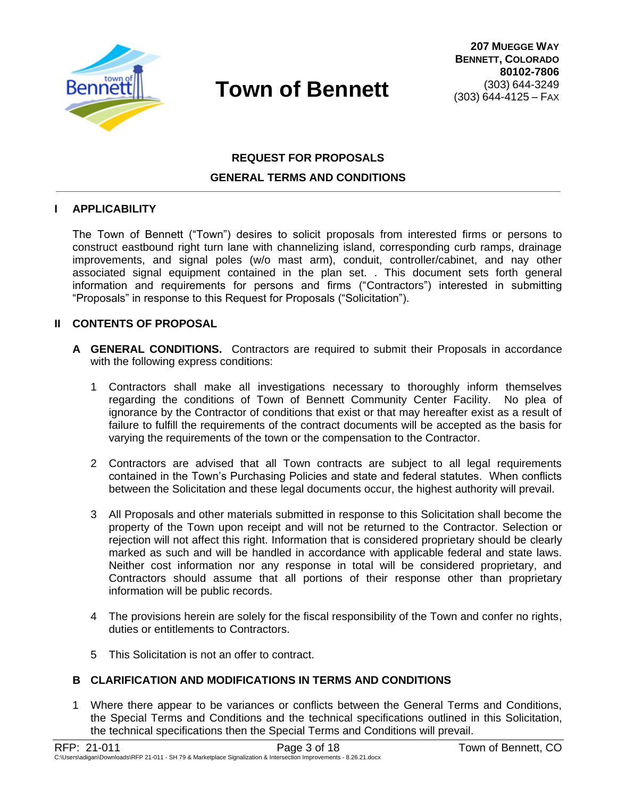

# **REQUEST FOR PROPOSALS GENERAL TERMS AND CONDITIONS**

#### **I APPLICABILITY**

The Town of Bennett ("Town") desires to solicit proposals from interested firms or persons to construct eastbound right turn lane with channelizing island, corresponding curb ramps, drainage improvements, and signal poles (w/o mast arm), conduit, controller/cabinet, and nay other associated signal equipment contained in the plan set. . This document sets forth general information and requirements for persons and firms ("Contractors") interested in submitting "Proposals" in response to this Request for Proposals ("Solicitation").

#### **II CONTENTS OF PROPOSAL**

- **A GENERAL CONDITIONS.** Contractors are required to submit their Proposals in accordance with the following express conditions:
	- 1 Contractors shall make all investigations necessary to thoroughly inform themselves regarding the conditions of Town of Bennett Community Center Facility. No plea of ignorance by the Contractor of conditions that exist or that may hereafter exist as a result of failure to fulfill the requirements of the contract documents will be accepted as the basis for varying the requirements of the town or the compensation to the Contractor.
	- 2 Contractors are advised that all Town contracts are subject to all legal requirements contained in the Town's Purchasing Policies and state and federal statutes. When conflicts between the Solicitation and these legal documents occur, the highest authority will prevail.
	- 3 All Proposals and other materials submitted in response to this Solicitation shall become the property of the Town upon receipt and will not be returned to the Contractor. Selection or rejection will not affect this right. Information that is considered proprietary should be clearly marked as such and will be handled in accordance with applicable federal and state laws. Neither cost information nor any response in total will be considered proprietary, and Contractors should assume that all portions of their response other than proprietary information will be public records.
	- 4 The provisions herein are solely for the fiscal responsibility of the Town and confer no rights, duties or entitlements to Contractors.
	- 5 This Solicitation is not an offer to contract.

### **B CLARIFICATION AND MODIFICATIONS IN TERMS AND CONDITIONS**

1 Where there appear to be variances or conflicts between the General Terms and Conditions, the Special Terms and Conditions and the technical specifications outlined in this Solicitation, the technical specifications then the Special Terms and Conditions will prevail.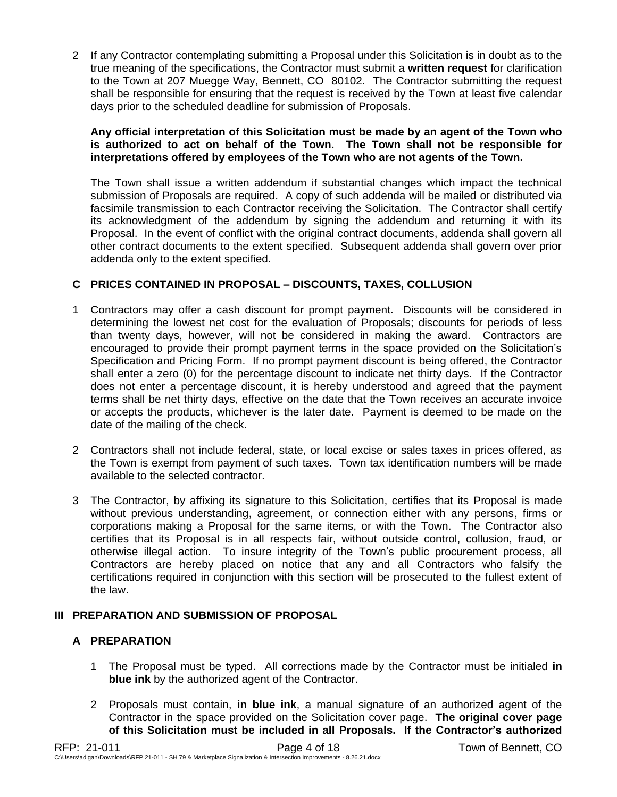2 If any Contractor contemplating submitting a Proposal under this Solicitation is in doubt as to the true meaning of the specifications, the Contractor must submit a **written request** for clarification to the Town at 207 Muegge Way, Bennett, CO 80102. The Contractor submitting the request shall be responsible for ensuring that the request is received by the Town at least five calendar days prior to the scheduled deadline for submission of Proposals.

#### **Any official interpretation of this Solicitation must be made by an agent of the Town who is authorized to act on behalf of the Town. The Town shall not be responsible for interpretations offered by employees of the Town who are not agents of the Town.**

The Town shall issue a written addendum if substantial changes which impact the technical submission of Proposals are required. A copy of such addenda will be mailed or distributed via facsimile transmission to each Contractor receiving the Solicitation. The Contractor shall certify its acknowledgment of the addendum by signing the addendum and returning it with its Proposal. In the event of conflict with the original contract documents, addenda shall govern all other contract documents to the extent specified. Subsequent addenda shall govern over prior addenda only to the extent specified.

# **C PRICES CONTAINED IN PROPOSAL – DISCOUNTS, TAXES, COLLUSION**

- 1 Contractors may offer a cash discount for prompt payment. Discounts will be considered in determining the lowest net cost for the evaluation of Proposals; discounts for periods of less than twenty days, however, will not be considered in making the award. Contractors are encouraged to provide their prompt payment terms in the space provided on the Solicitation's Specification and Pricing Form. If no prompt payment discount is being offered, the Contractor shall enter a zero (0) for the percentage discount to indicate net thirty days. If the Contractor does not enter a percentage discount, it is hereby understood and agreed that the payment terms shall be net thirty days, effective on the date that the Town receives an accurate invoice or accepts the products, whichever is the later date. Payment is deemed to be made on the date of the mailing of the check.
- 2 Contractors shall not include federal, state, or local excise or sales taxes in prices offered, as the Town is exempt from payment of such taxes. Town tax identification numbers will be made available to the selected contractor.
- 3 The Contractor, by affixing its signature to this Solicitation, certifies that its Proposal is made without previous understanding, agreement, or connection either with any persons, firms or corporations making a Proposal for the same items, or with the Town. The Contractor also certifies that its Proposal is in all respects fair, without outside control, collusion, fraud, or otherwise illegal action. To insure integrity of the Town's public procurement process, all Contractors are hereby placed on notice that any and all Contractors who falsify the certifications required in conjunction with this section will be prosecuted to the fullest extent of the law.

### **III PREPARATION AND SUBMISSION OF PROPOSAL**

### **A PREPARATION**

- 1 The Proposal must be typed. All corrections made by the Contractor must be initialed **in blue ink** by the authorized agent of the Contractor.
- 2 Proposals must contain, **in blue ink**, a manual signature of an authorized agent of the Contractor in the space provided on the Solicitation cover page. **The original cover page of this Solicitation must be included in all Proposals. If the Contractor's authorized**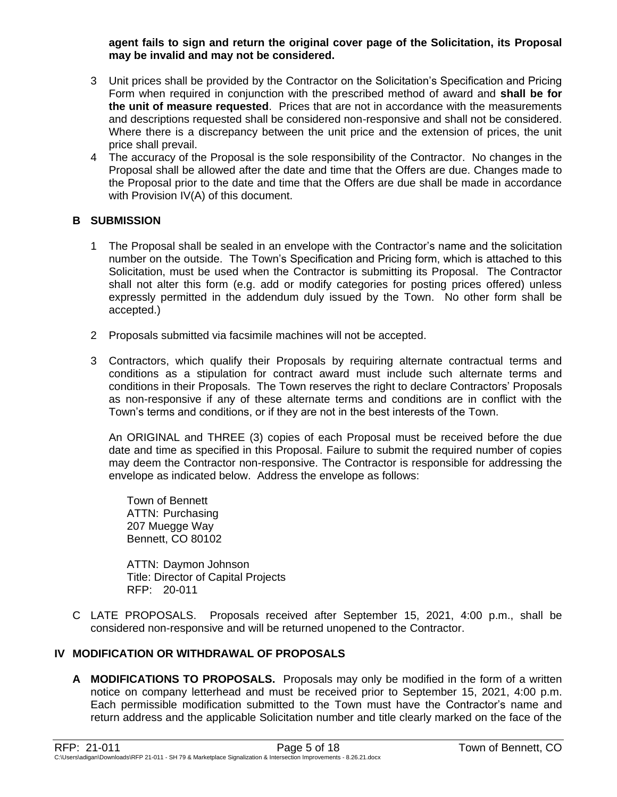#### **agent fails to sign and return the original cover page of the Solicitation, its Proposal may be invalid and may not be considered.**

- 3 Unit prices shall be provided by the Contractor on the Solicitation's Specification and Pricing Form when required in conjunction with the prescribed method of award and **shall be for the unit of measure requested**. Prices that are not in accordance with the measurements and descriptions requested shall be considered non-responsive and shall not be considered. Where there is a discrepancy between the unit price and the extension of prices, the unit price shall prevail.
- 4 The accuracy of the Proposal is the sole responsibility of the Contractor. No changes in the Proposal shall be allowed after the date and time that the Offers are due. Changes made to the Proposal prior to the date and time that the Offers are due shall be made in accordance with Provision IV(A) of this document.

## **B SUBMISSION**

- 1 The Proposal shall be sealed in an envelope with the Contractor's name and the solicitation number on the outside. The Town's Specification and Pricing form, which is attached to this Solicitation, must be used when the Contractor is submitting its Proposal. The Contractor shall not alter this form (e.g. add or modify categories for posting prices offered) unless expressly permitted in the addendum duly issued by the Town. No other form shall be accepted.)
- 2 Proposals submitted via facsimile machines will not be accepted.
- 3 Contractors, which qualify their Proposals by requiring alternate contractual terms and conditions as a stipulation for contract award must include such alternate terms and conditions in their Proposals. The Town reserves the right to declare Contractors' Proposals as non-responsive if any of these alternate terms and conditions are in conflict with the Town's terms and conditions, or if they are not in the best interests of the Town.

An ORIGINAL and THREE (3) copies of each Proposal must be received before the due date and time as specified in this Proposal. Failure to submit the required number of copies may deem the Contractor non-responsive. The Contractor is responsible for addressing the envelope as indicated below. Address the envelope as follows:

Town of Bennett ATTN: Purchasing 207 Muegge Way Bennett, CO 80102

ATTN: Daymon Johnson Title: Director of Capital Projects RFP: 20-011

C LATE PROPOSALS. Proposals received after September 15, 2021, 4:00 p.m., shall be considered non-responsive and will be returned unopened to the Contractor.

### **IV MODIFICATION OR WITHDRAWAL OF PROPOSALS**

**A MODIFICATIONS TO PROPOSALS.** Proposals may only be modified in the form of a written notice on company letterhead and must be received prior to September 15, 2021, 4:00 p.m. Each permissible modification submitted to the Town must have the Contractor's name and return address and the applicable Solicitation number and title clearly marked on the face of the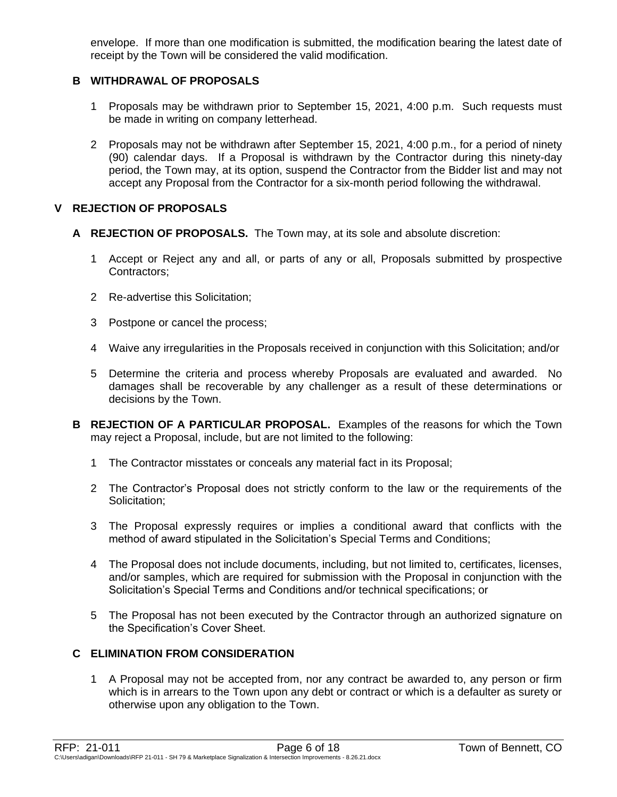envelope. If more than one modification is submitted, the modification bearing the latest date of receipt by the Town will be considered the valid modification.

### **B WITHDRAWAL OF PROPOSALS**

- 1 Proposals may be withdrawn prior to September 15, 2021, 4:00 p.m. Such requests must be made in writing on company letterhead.
- 2 Proposals may not be withdrawn after September 15, 2021, 4:00 p.m., for a period of ninety (90) calendar days. If a Proposal is withdrawn by the Contractor during this ninety-day period, the Town may, at its option, suspend the Contractor from the Bidder list and may not accept any Proposal from the Contractor for a six-month period following the withdrawal.

## **V REJECTION OF PROPOSALS**

- **A REJECTION OF PROPOSALS.** The Town may, at its sole and absolute discretion:
	- 1 Accept or Reject any and all, or parts of any or all, Proposals submitted by prospective Contractors;
	- 2 Re-advertise this Solicitation;
	- 3 Postpone or cancel the process;
	- 4 Waive any irregularities in the Proposals received in conjunction with this Solicitation; and/or
	- 5 Determine the criteria and process whereby Proposals are evaluated and awarded. No damages shall be recoverable by any challenger as a result of these determinations or decisions by the Town.
- **B REJECTION OF A PARTICULAR PROPOSAL.** Examples of the reasons for which the Town may reject a Proposal, include, but are not limited to the following:
	- 1 The Contractor misstates or conceals any material fact in its Proposal;
	- 2 The Contractor's Proposal does not strictly conform to the law or the requirements of the Solicitation:
	- 3 The Proposal expressly requires or implies a conditional award that conflicts with the method of award stipulated in the Solicitation's Special Terms and Conditions;
	- 4 The Proposal does not include documents, including, but not limited to, certificates, licenses, and/or samples, which are required for submission with the Proposal in conjunction with the Solicitation's Special Terms and Conditions and/or technical specifications; or
	- 5 The Proposal has not been executed by the Contractor through an authorized signature on the Specification's Cover Sheet.

## **C ELIMINATION FROM CONSIDERATION**

1 A Proposal may not be accepted from, nor any contract be awarded to, any person or firm which is in arrears to the Town upon any debt or contract or which is a defaulter as surety or otherwise upon any obligation to the Town.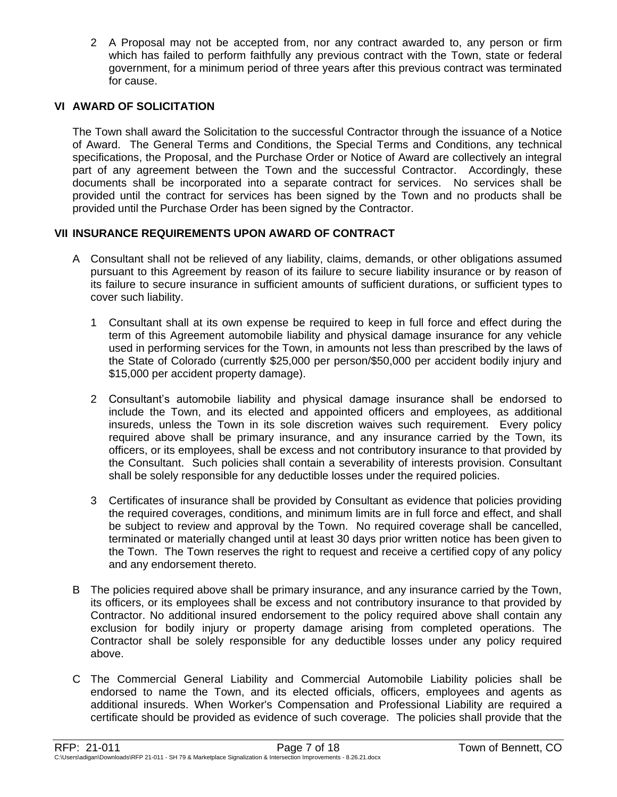2 A Proposal may not be accepted from, nor any contract awarded to, any person or firm which has failed to perform faithfully any previous contract with the Town, state or federal government, for a minimum period of three years after this previous contract was terminated for cause.

### **VI AWARD OF SOLICITATION**

The Town shall award the Solicitation to the successful Contractor through the issuance of a Notice of Award. The General Terms and Conditions, the Special Terms and Conditions, any technical specifications, the Proposal, and the Purchase Order or Notice of Award are collectively an integral part of any agreement between the Town and the successful Contractor. Accordingly, these documents shall be incorporated into a separate contract for services. No services shall be provided until the contract for services has been signed by the Town and no products shall be provided until the Purchase Order has been signed by the Contractor.

### **VII INSURANCE REQUIREMENTS UPON AWARD OF CONTRACT**

- A Consultant shall not be relieved of any liability, claims, demands, or other obligations assumed pursuant to this Agreement by reason of its failure to secure liability insurance or by reason of its failure to secure insurance in sufficient amounts of sufficient durations, or sufficient types to cover such liability.
	- 1 Consultant shall at its own expense be required to keep in full force and effect during the term of this Agreement automobile liability and physical damage insurance for any vehicle used in performing services for the Town, in amounts not less than prescribed by the laws of the State of Colorado (currently \$25,000 per person/\$50,000 per accident bodily injury and \$15,000 per accident property damage).
	- 2 Consultant's automobile liability and physical damage insurance shall be endorsed to include the Town, and its elected and appointed officers and employees, as additional insureds, unless the Town in its sole discretion waives such requirement. Every policy required above shall be primary insurance, and any insurance carried by the Town, its officers, or its employees, shall be excess and not contributory insurance to that provided by the Consultant. Such policies shall contain a severability of interests provision. Consultant shall be solely responsible for any deductible losses under the required policies.
	- 3 Certificates of insurance shall be provided by Consultant as evidence that policies providing the required coverages, conditions, and minimum limits are in full force and effect, and shall be subject to review and approval by the Town. No required coverage shall be cancelled, terminated or materially changed until at least 30 days prior written notice has been given to the Town. The Town reserves the right to request and receive a certified copy of any policy and any endorsement thereto.
- B The policies required above shall be primary insurance, and any insurance carried by the Town, its officers, or its employees shall be excess and not contributory insurance to that provided by Contractor. No additional insured endorsement to the policy required above shall contain any exclusion for bodily injury or property damage arising from completed operations. The Contractor shall be solely responsible for any deductible losses under any policy required above.
- C The Commercial General Liability and Commercial Automobile Liability policies shall be endorsed to name the Town, and its elected officials, officers, employees and agents as additional insureds. When Worker's Compensation and Professional Liability are required a certificate should be provided as evidence of such coverage. The policies shall provide that the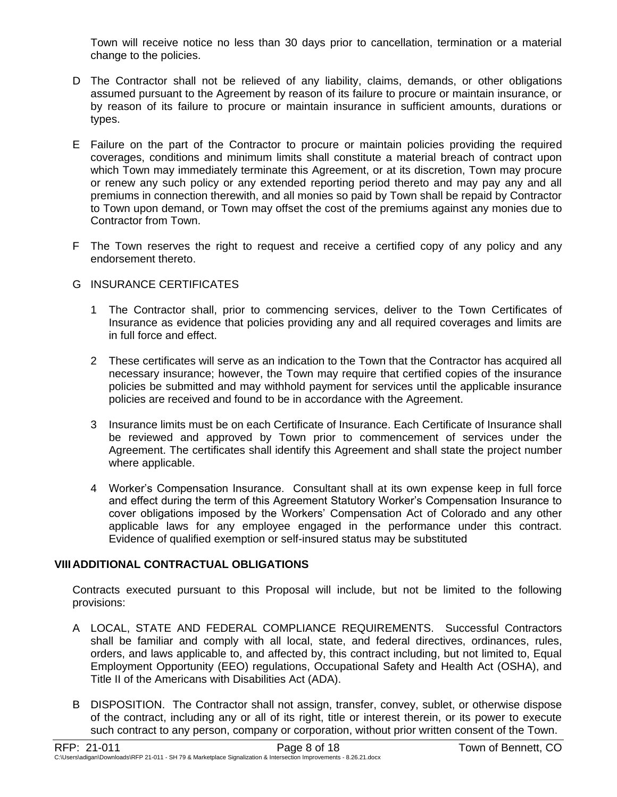Town will receive notice no less than 30 days prior to cancellation, termination or a material change to the policies.

- D The Contractor shall not be relieved of any liability, claims, demands, or other obligations assumed pursuant to the Agreement by reason of its failure to procure or maintain insurance, or by reason of its failure to procure or maintain insurance in sufficient amounts, durations or types.
- E Failure on the part of the Contractor to procure or maintain policies providing the required coverages, conditions and minimum limits shall constitute a material breach of contract upon which Town may immediately terminate this Agreement, or at its discretion, Town may procure or renew any such policy or any extended reporting period thereto and may pay any and all premiums in connection therewith, and all monies so paid by Town shall be repaid by Contractor to Town upon demand, or Town may offset the cost of the premiums against any monies due to Contractor from Town.
- F The Town reserves the right to request and receive a certified copy of any policy and any endorsement thereto.

## G INSURANCE CERTIFICATES

- 1 The Contractor shall, prior to commencing services, deliver to the Town Certificates of Insurance as evidence that policies providing any and all required coverages and limits are in full force and effect.
- 2 These certificates will serve as an indication to the Town that the Contractor has acquired all necessary insurance; however, the Town may require that certified copies of the insurance policies be submitted and may withhold payment for services until the applicable insurance policies are received and found to be in accordance with the Agreement.
- 3 Insurance limits must be on each Certificate of Insurance. Each Certificate of Insurance shall be reviewed and approved by Town prior to commencement of services under the Agreement. The certificates shall identify this Agreement and shall state the project number where applicable.
- 4 Worker's Compensation Insurance. Consultant shall at its own expense keep in full force and effect during the term of this Agreement Statutory Worker's Compensation Insurance to cover obligations imposed by the Workers' Compensation Act of Colorado and any other applicable laws for any employee engaged in the performance under this contract. Evidence of qualified exemption or self-insured status may be substituted

## **VIIIADDITIONAL CONTRACTUAL OBLIGATIONS**

Contracts executed pursuant to this Proposal will include, but not be limited to the following provisions:

- A LOCAL, STATE AND FEDERAL COMPLIANCE REQUIREMENTS. Successful Contractors shall be familiar and comply with all local, state, and federal directives, ordinances, rules, orders, and laws applicable to, and affected by, this contract including, but not limited to, Equal Employment Opportunity (EEO) regulations, Occupational Safety and Health Act (OSHA), and Title II of the Americans with Disabilities Act (ADA).
- B DISPOSITION. The Contractor shall not assign, transfer, convey, sublet, or otherwise dispose of the contract, including any or all of its right, title or interest therein, or its power to execute such contract to any person, company or corporation, without prior written consent of the Town.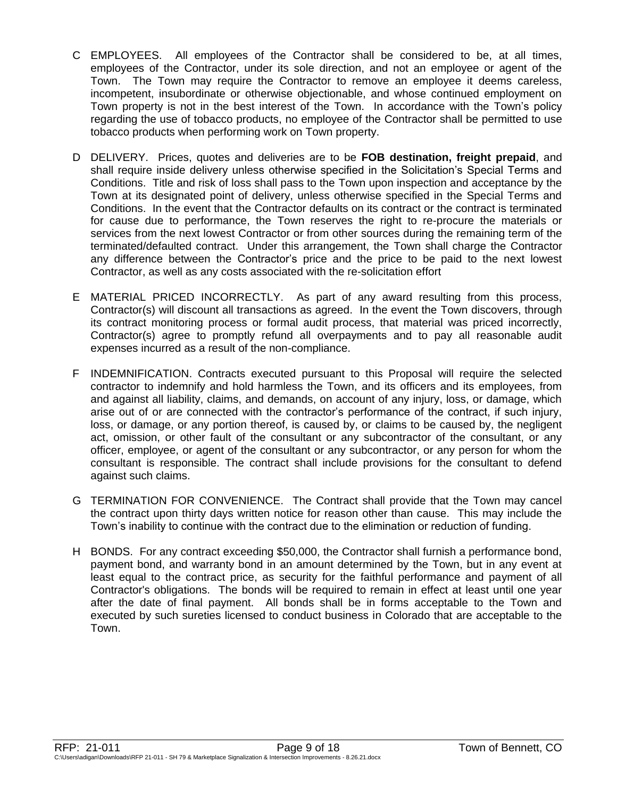- C EMPLOYEES. All employees of the Contractor shall be considered to be, at all times, employees of the Contractor, under its sole direction, and not an employee or agent of the Town. The Town may require the Contractor to remove an employee it deems careless, incompetent, insubordinate or otherwise objectionable, and whose continued employment on Town property is not in the best interest of the Town. In accordance with the Town's policy regarding the use of tobacco products, no employee of the Contractor shall be permitted to use tobacco products when performing work on Town property.
- D DELIVERY. Prices, quotes and deliveries are to be **FOB destination, freight prepaid**, and shall require inside delivery unless otherwise specified in the Solicitation's Special Terms and Conditions. Title and risk of loss shall pass to the Town upon inspection and acceptance by the Town at its designated point of delivery, unless otherwise specified in the Special Terms and Conditions. In the event that the Contractor defaults on its contract or the contract is terminated for cause due to performance, the Town reserves the right to re-procure the materials or services from the next lowest Contractor or from other sources during the remaining term of the terminated/defaulted contract. Under this arrangement, the Town shall charge the Contractor any difference between the Contractor's price and the price to be paid to the next lowest Contractor, as well as any costs associated with the re-solicitation effort
- E MATERIAL PRICED INCORRECTLY. As part of any award resulting from this process, Contractor(s) will discount all transactions as agreed. In the event the Town discovers, through its contract monitoring process or formal audit process, that material was priced incorrectly, Contractor(s) agree to promptly refund all overpayments and to pay all reasonable audit expenses incurred as a result of the non-compliance.
- F INDEMNIFICATION. Contracts executed pursuant to this Proposal will require the selected contractor to indemnify and hold harmless the Town, and its officers and its employees, from and against all liability, claims, and demands, on account of any injury, loss, or damage, which arise out of or are connected with the contractor's performance of the contract, if such injury, loss, or damage, or any portion thereof, is caused by, or claims to be caused by, the negligent act, omission, or other fault of the consultant or any subcontractor of the consultant, or any officer, employee, or agent of the consultant or any subcontractor, or any person for whom the consultant is responsible. The contract shall include provisions for the consultant to defend against such claims.
- G TERMINATION FOR CONVENIENCE. The Contract shall provide that the Town may cancel the contract upon thirty days written notice for reason other than cause. This may include the Town's inability to continue with the contract due to the elimination or reduction of funding.
- H BONDS. For any contract exceeding \$50,000, the Contractor shall furnish a performance bond, payment bond, and warranty bond in an amount determined by the Town, but in any event at least equal to the contract price, as security for the faithful performance and payment of all Contractor's obligations. The bonds will be required to remain in effect at least until one year after the date of final payment. All bonds shall be in forms acceptable to the Town and executed by such sureties licensed to conduct business in Colorado that are acceptable to the Town.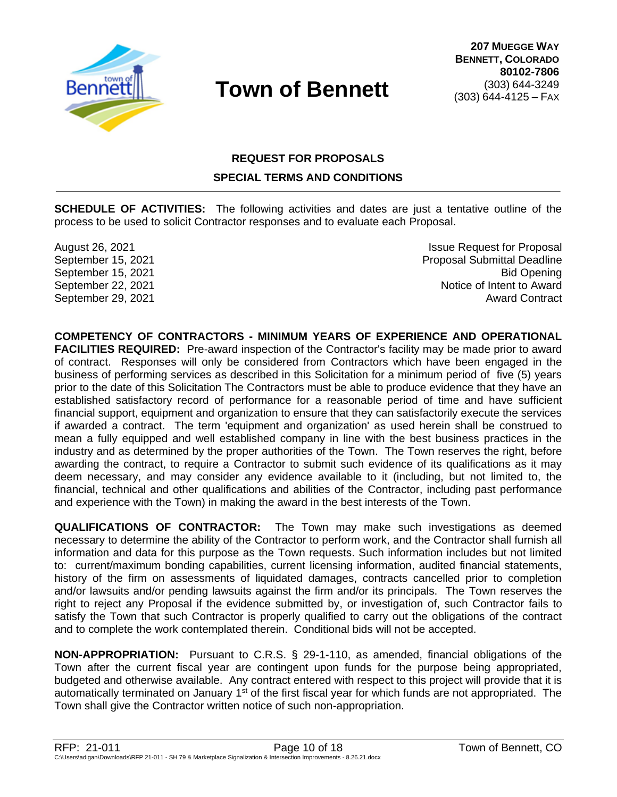

# **REQUEST FOR PROPOSALS SPECIAL TERMS AND CONDITIONS**

**SCHEDULE OF ACTIVITIES:** The following activities and dates are just a tentative outline of the process to be used to solicit Contractor responses and to evaluate each Proposal.

August 26, 2021 **Issue Request for Proposal** September 15, 2021 Proposal Submittal Deadline September 15, 2021 Bid Opening September 22, 2021 **Notice of Intent to Award** September 29, 2021 **Award Contract Contract Award Contract Award Contract** 

**COMPETENCY OF CONTRACTORS - MINIMUM YEARS OF EXPERIENCE AND OPERATIONAL FACILITIES REQUIRED:** Pre-award inspection of the Contractor's facility may be made prior to award of contract. Responses will only be considered from Contractors which have been engaged in the business of performing services as described in this Solicitation for a minimum period of five (5) years prior to the date of this Solicitation The Contractors must be able to produce evidence that they have an established satisfactory record of performance for a reasonable period of time and have sufficient financial support, equipment and organization to ensure that they can satisfactorily execute the services if awarded a contract. The term 'equipment and organization' as used herein shall be construed to mean a fully equipped and well established company in line with the best business practices in the industry and as determined by the proper authorities of the Town. The Town reserves the right, before awarding the contract, to require a Contractor to submit such evidence of its qualifications as it may deem necessary, and may consider any evidence available to it (including, but not limited to, the financial, technical and other qualifications and abilities of the Contractor, including past performance and experience with the Town) in making the award in the best interests of the Town.

**QUALIFICATIONS OF CONTRACTOR:** The Town may make such investigations as deemed necessary to determine the ability of the Contractor to perform work, and the Contractor shall furnish all information and data for this purpose as the Town requests. Such information includes but not limited to: current/maximum bonding capabilities, current licensing information, audited financial statements, history of the firm on assessments of liquidated damages, contracts cancelled prior to completion and/or lawsuits and/or pending lawsuits against the firm and/or its principals. The Town reserves the right to reject any Proposal if the evidence submitted by, or investigation of, such Contractor fails to satisfy the Town that such Contractor is properly qualified to carry out the obligations of the contract and to complete the work contemplated therein. Conditional bids will not be accepted.

**NON-APPROPRIATION:** Pursuant to C.R.S. § 29-1-110, as amended, financial obligations of the Town after the current fiscal year are contingent upon funds for the purpose being appropriated, budgeted and otherwise available. Any contract entered with respect to this project will provide that it is automatically terminated on January 1<sup>st</sup> of the first fiscal year for which funds are not appropriated. The Town shall give the Contractor written notice of such non-appropriation.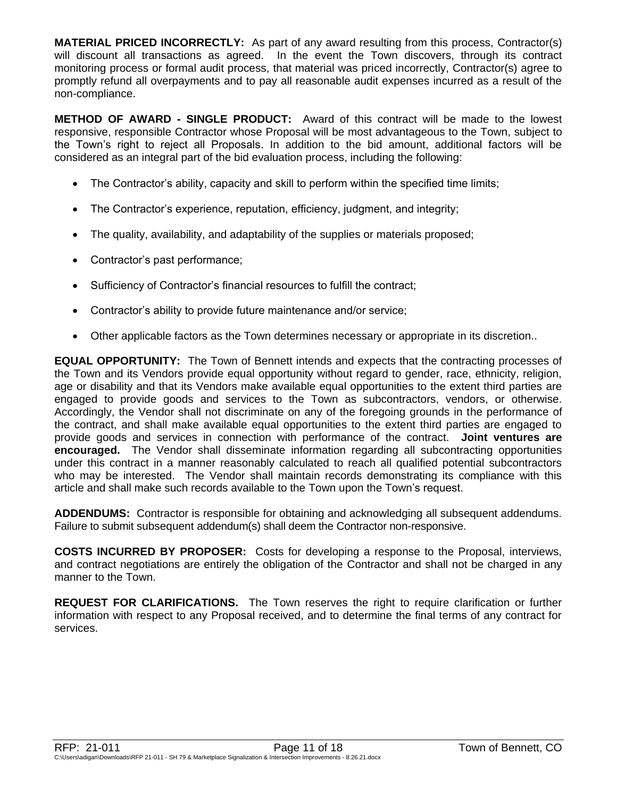**MATERIAL PRICED INCORRECTLY:** As part of any award resulting from this process, Contractor(s) will discount all transactions as agreed. In the event the Town discovers, through its contract monitoring process or formal audit process, that material was priced incorrectly, Contractor(s) agree to promptly refund all overpayments and to pay all reasonable audit expenses incurred as a result of the non-compliance.

**METHOD OF AWARD - SINGLE PRODUCT:** Award of this contract will be made to the lowest responsive, responsible Contractor whose Proposal will be most advantageous to the Town, subject to the Town's right to reject all Proposals. In addition to the bid amount, additional factors will be considered as an integral part of the bid evaluation process, including the following:

- The Contractor's ability, capacity and skill to perform within the specified time limits;
- The Contractor's experience, reputation, efficiency, judgment, and integrity;
- The quality, availability, and adaptability of the supplies or materials proposed;
- Contractor's past performance;
- Sufficiency of Contractor's financial resources to fulfill the contract;
- Contractor's ability to provide future maintenance and/or service;
- Other applicable factors as the Town determines necessary or appropriate in its discretion..

**EQUAL OPPORTUNITY:** The Town of Bennett intends and expects that the contracting processes of the Town and its Vendors provide equal opportunity without regard to gender, race, ethnicity, religion, age or disability and that its Vendors make available equal opportunities to the extent third parties are engaged to provide goods and services to the Town as subcontractors, vendors, or otherwise. Accordingly, the Vendor shall not discriminate on any of the foregoing grounds in the performance of the contract, and shall make available equal opportunities to the extent third parties are engaged to provide goods and services in connection with performance of the contract. **Joint ventures are encouraged.** The Vendor shall disseminate information regarding all subcontracting opportunities under this contract in a manner reasonably calculated to reach all qualified potential subcontractors who may be interested. The Vendor shall maintain records demonstrating its compliance with this article and shall make such records available to the Town upon the Town's request.

**ADDENDUMS:** Contractor is responsible for obtaining and acknowledging all subsequent addendums. Failure to submit subsequent addendum(s) shall deem the Contractor non-responsive.

**COSTS INCURRED BY PROPOSER:** Costs for developing a response to the Proposal, interviews, and contract negotiations are entirely the obligation of the Contractor and shall not be charged in any manner to the Town.

**REQUEST FOR CLARIFICATIONS.** The Town reserves the right to require clarification or further information with respect to any Proposal received, and to determine the final terms of any contract for services.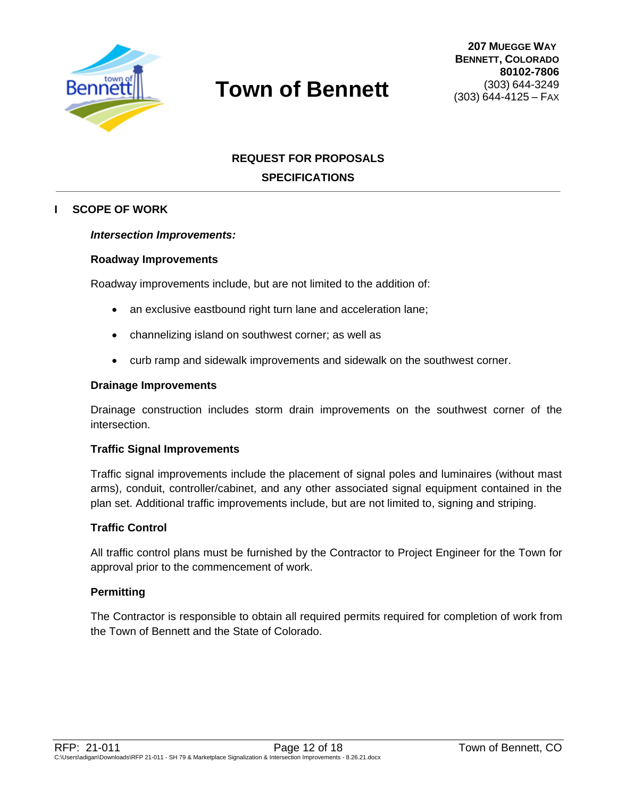

# **REQUEST FOR PROPOSALS SPECIFICATIONS**

### **I SCOPE OF WORK**

#### *Intersection Improvements:*

#### **Roadway Improvements**

Roadway improvements include, but are not limited to the addition of:

- an exclusive eastbound right turn lane and acceleration lane;
- channelizing island on southwest corner; as well as
- curb ramp and sidewalk improvements and sidewalk on the southwest corner.

#### **Drainage Improvements**

Drainage construction includes storm drain improvements on the southwest corner of the intersection.

#### **Traffic Signal Improvements**

Traffic signal improvements include the placement of signal poles and luminaires (without mast arms), conduit, controller/cabinet, and any other associated signal equipment contained in the plan set. Additional traffic improvements include, but are not limited to, signing and striping.

### **Traffic Control**

All traffic control plans must be furnished by the Contractor to Project Engineer for the Town for approval prior to the commencement of work.

### **Permitting**

The Contractor is responsible to obtain all required permits required for completion of work from the Town of Bennett and the State of Colorado.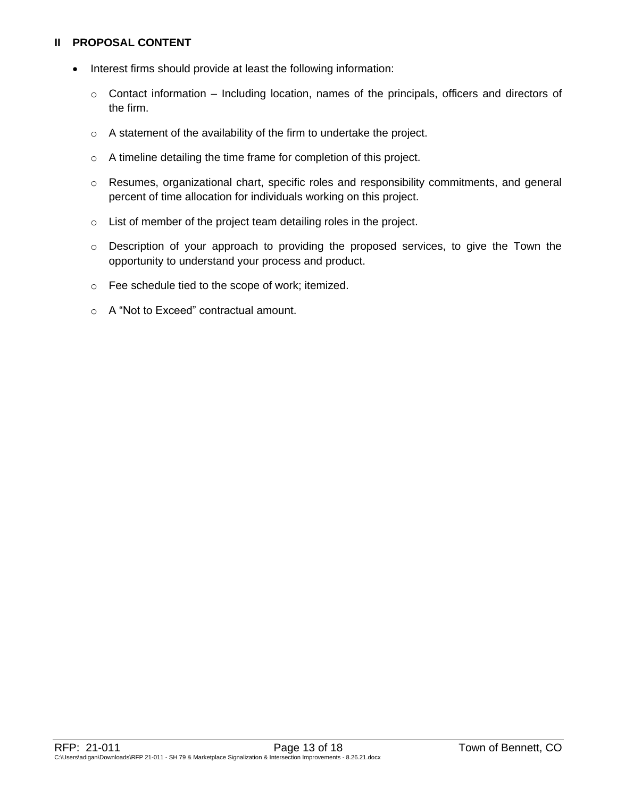### **II PROPOSAL CONTENT**

- Interest firms should provide at least the following information:
	- o Contact information Including location, names of the principals, officers and directors of the firm.
	- o A statement of the availability of the firm to undertake the project.
	- o A timeline detailing the time frame for completion of this project.
	- o Resumes, organizational chart, specific roles and responsibility commitments, and general percent of time allocation for individuals working on this project.
	- o List of member of the project team detailing roles in the project.
	- o Description of your approach to providing the proposed services, to give the Town the opportunity to understand your process and product.
	- o Fee schedule tied to the scope of work; itemized.
	- o A "Not to Exceed" contractual amount.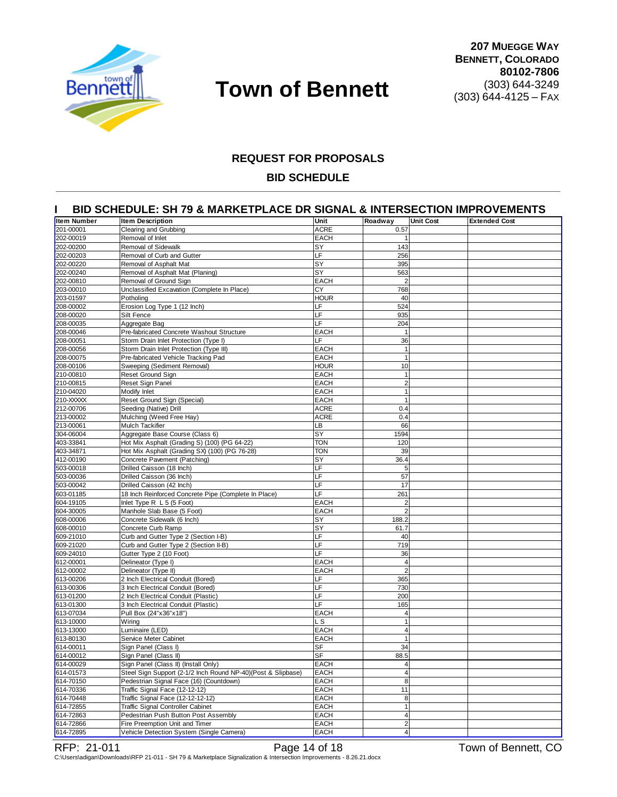

#### **REQUEST FOR PROPOSALS**

#### **BID SCHEDULE**

#### **I BID SCHEDULE: SH 79 & MARKETPLACE DR SIGNAL & INTERSECTION IMPROVEMENTS**

| Item Number            | <b>Item Description</b>                                      | Unit        | Roadway        | <b>Unit Cost</b> | <b>Extended Cost</b> |
|------------------------|--------------------------------------------------------------|-------------|----------------|------------------|----------------------|
| 201-00001              | Clearing and Grubbing                                        | <b>ACRE</b> | 0.57           |                  |                      |
| 202-00019              | Removal of Inlet                                             | <b>EACH</b> | $\mathbf{1}$   |                  |                      |
| 202-00200              | Removal of Sidewalk                                          | SY          | 143            |                  |                      |
| 202-00203              | Removal of Curb and Gutter                                   | LF          | 256            |                  |                      |
| 202-00220              | Removal of Asphalt Mat                                       | SY          | 395            |                  |                      |
| 202-00240              | Removal of Asphalt Mat (Planing)                             | SY          | 563            |                  |                      |
| 202-00810              | Removal of Ground Sign                                       | <b>EACH</b> | $\overline{2}$ |                  |                      |
| 203-00010              | Unclassified Excavation (Complete In Place)                  | CY          | 768            |                  |                      |
| 203-01597              | Potholing                                                    | <b>HOUR</b> | 40             |                  |                      |
| 208-00002              | Erosion Log Type 1 (12 Inch)                                 | LF          | 524            |                  |                      |
| 208-00020              | Silt Fence                                                   | LF          | 935            |                  |                      |
| 208-00035              | Aggregate Bag                                                | LF          | 204            |                  |                      |
| 208-00046              | Pre-fabricated Concrete Washout Structure                    | <b>EACH</b> | $\mathbf{1}$   |                  |                      |
| 208-00051              | Storm Drain Inlet Protection (Type I)                        | LF          | 36             |                  |                      |
| 208-00056              | Storm Drain Inlet Protection (Type III)                      | <b>EACH</b> | $\mathbf{1}$   |                  |                      |
| 208-00075              | Pre-fabricated Vehicle Tracking Pad                          | <b>EACH</b> | $\mathbf{1}$   |                  |                      |
| 208-00106              | Sweeping (Sediment Removal)                                  | <b>HOUR</b> | 10             |                  |                      |
| 210-00810              | <b>Reset Ground Sign</b>                                     | <b>EACH</b> | $\mathbf{1}$   |                  |                      |
| 210-00815              | Reset Sign Panel                                             | <b>EACH</b> | $\overline{2}$ |                  |                      |
| 210-04020              | Modify Inlet                                                 | <b>EACH</b> | 1              |                  |                      |
| 210-XXXXX              | Reset Ground Sign (Special)                                  | <b>EACH</b> | 1              |                  |                      |
| 212-00706              | Seeding (Native) Drill                                       | <b>ACRE</b> | 0.4            |                  |                      |
| 213-00002              | Mulching (Weed Free Hay)<br><b>Mulch Tackifier</b>           | <b>ACRE</b> | 0.4            |                  |                      |
| 213-00061<br>304-06004 | Aggregate Base Course (Class 6)                              | LВ<br>SY    | 66<br>1594     |                  |                      |
| 403-33841              | Hot Mix Asphalt (Grading S) (100) (PG 64-22)                 | <b>TON</b>  | 120            |                  |                      |
| 403-34871              | Hot Mix Asphalt (Grading SX) (100) (PG 76-28)                | <b>TON</b>  | 39             |                  |                      |
| 412-00190              | Concrete Pavement (Patching)                                 | SY          | 36.4           |                  |                      |
| 503-00018              | Drilled Caisson (18 Inch)                                    | LF          | 5              |                  |                      |
| 503-00036              | Drilled Caisson (36 Inch)                                    | LF          | 57             |                  |                      |
| 503-00042              | Drilled Caisson (42 Inch)                                    | LF          | 17             |                  |                      |
| 603-01185              | 18 Inch Reinforced Concrete Pipe (Complete In Place)         | LF          | 261            |                  |                      |
| 604-19105              | Inlet Type $R L 5$ (5 Foot)                                  | <b>EACH</b> | $\overline{2}$ |                  |                      |
| 604-30005              | Manhole Slab Base (5 Foot)                                   | <b>EACH</b> | $\overline{2}$ |                  |                      |
| 608-00006              | Concrete Sidewalk (6 Inch)                                   | SY          | 188.2          |                  |                      |
| 608-00010              | Concrete Curb Ramp                                           | SY          | 61.7           |                  |                      |
| 609-21010              | Curb and Gutter Type 2 (Section I-B)                         | LF          | 40             |                  |                      |
| 609-21020              | Curb and Gutter Type 2 (Section II-B)                        | LF          | 719            |                  |                      |
| 609-24010              | Gutter Type 2 (10 Foot)                                      | LF          | 36             |                  |                      |
| 612-00001              | Delineator (Type I)                                          | <b>EACH</b> | $\overline{4}$ |                  |                      |
| 612-00002              | Delineator (Type II)                                         | <b>EACH</b> | $\overline{2}$ |                  |                      |
| 613-00206              | 2 Inch Electrical Conduit (Bored)                            | LF          | 365            |                  |                      |
| 613-00306              | 3 Inch Electrical Conduit (Bored)                            | LF          | 730            |                  |                      |
| 613-01200              | 2 Inch Electrical Conduit (Plastic)                          | LF          | 200            |                  |                      |
| 613-01300              | 3 Inch Electrical Conduit (Plastic)                          | LF          | 165            |                  |                      |
| 613-07034              | Pull Box (24"x36"x18")                                       | <b>EACH</b> | $\overline{4}$ |                  |                      |
| 613-10000              | Wiring                                                       | L S         | $\mathbf{1}$   |                  |                      |
| 613-13000              | Luminaire (LED)                                              | <b>EACH</b> | $\overline{4}$ |                  |                      |
| 613-80130              | Service Meter Cabinet                                        | <b>EACH</b> | 1              |                  |                      |
| 614-00011              | Sign Panel (Class I)                                         | ъ⊧          | 34             |                  |                      |
| 614-00012              | Sign Panel (Class II)                                        | <b>SF</b>   | 88.5           |                  |                      |
| 614-00029              | Sign Panel (Class II) (Install Only)                         | <b>EACH</b> |                |                  |                      |
| 614-01573              | Steel Sign Support (2-1/2 Inch Round NP-40)(Post & Slipbase) | <b>EACH</b> | $\overline{4}$ |                  |                      |
| 614-70150              | Pedestrian Signal Face (16) (Countdown)                      | <b>EACH</b> | 8              |                  |                      |
| 614-70336              | Traffic Signal Face (12-12-12)                               | <b>EACH</b> | 11             |                  |                      |
| 614-70448              | Traffic Signal Face (12-12-12-12)                            | <b>EACH</b> | 8              |                  |                      |
| 614-72855              | Traffic Signal Controller Cabinet                            | EACH        | $\mathbf{1}$   |                  |                      |
| 614-72863              | Pedestrian Push Button Post Assembly                         | <b>EACH</b> | $\overline{4}$ |                  |                      |
| 614-72866              | Fire Preemption Unit and Timer                               | <b>EACH</b> | $\overline{2}$ |                  |                      |
| 614-72895              | Vehicle Detection System (Single Camera)                     | <b>EACH</b> | 4 <sup>1</sup> |                  |                      |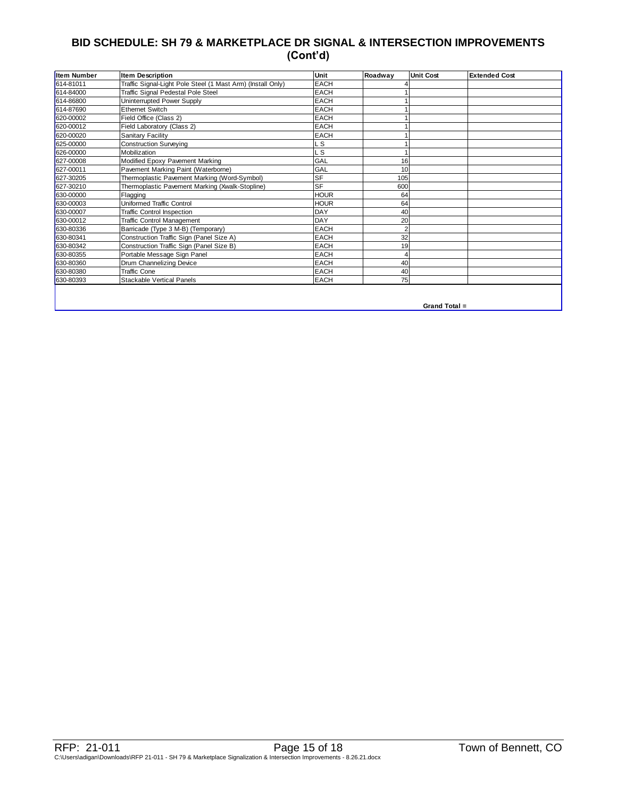## **BID SCHEDULE: SH 79 & MARKETPLACE DR SIGNAL & INTERSECTION IMPROVEMENTS (Cont'd)**

| 614-81011<br>614-84000 | Traffic Signal-Light Pole Steel (1 Mast Arm) (Install Only) |             |     |  |
|------------------------|-------------------------------------------------------------|-------------|-----|--|
|                        |                                                             | <b>EACH</b> |     |  |
|                        | Traffic Signal Pedestal Pole Steel                          | <b>EACH</b> |     |  |
| 614-86800              | Uninterrupted Power Supply                                  | <b>EACH</b> |     |  |
| 614-87690              | <b>Ethernet Switch</b>                                      | <b>EACH</b> |     |  |
| 620-00002              | Field Office (Class 2)                                      | <b>EACH</b> |     |  |
| 620-00012              | Field Laboratory (Class 2)                                  | <b>EACH</b> |     |  |
| 620-00020              | Sanitary Facility                                           | <b>EACH</b> |     |  |
| 625-00000              | <b>Construction Surveying</b>                               | . S         |     |  |
| 626-00000              | Mobilization                                                | S           |     |  |
| 627-00008              | Modified Epoxy Pavement Marking                             | GAL         | 16  |  |
| 627-00011              | Pavement Marking Paint (Waterborne)                         | GAL         | 10  |  |
| 627-30205              | Thermoplastic Pavement Marking (Word-Symbol)                | <b>SF</b>   | 105 |  |
| 627-30210              | Thermoplastic Pavement Marking (Xwalk-Stopline)             | <b>SF</b>   | 600 |  |
| 630-00000              | Flagging                                                    | <b>HOUR</b> | 64  |  |
| 630-00003              | Uniformed Traffic Control                                   | <b>HOUR</b> | 64  |  |
| 630-00007              | <b>Traffic Control Inspection</b>                           | DAY         | 40  |  |
| 630-00012              | <b>Traffic Control Management</b>                           | <b>DAY</b>  | 20  |  |
| 630-80336              | Barricade (Type 3 M-B) (Temporary)                          | <b>EACH</b> |     |  |
| 630-80341              | Construction Traffic Sign (Panel Size A)                    | <b>EACH</b> | 32  |  |
| 630-80342              | Construction Traffic Sign (Panel Size B)                    | <b>EACH</b> | 19  |  |
| 630-80355              | Portable Message Sign Panel                                 | <b>EACH</b> |     |  |
| 630-80360              | Drum Channelizing Device                                    | <b>EACH</b> | 40  |  |
| 630-80380              | <b>Traffic Cone</b>                                         | <b>EACH</b> | 40  |  |
| 630-80393              | <b>Stackable Vertical Panels</b>                            | <b>EACH</b> | 75  |  |

**Grand Total =**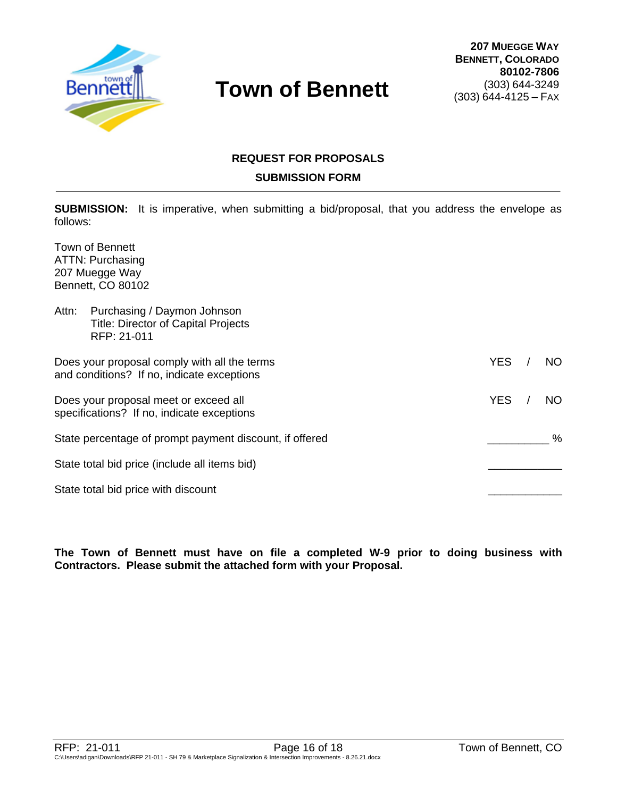

# **REQUEST FOR PROPOSALS SUBMISSION FORM**

**SUBMISSION:** It is imperative, when submitting a bid/proposal, that you address the envelope as follows:

Town of Bennett ATTN: Purchasing 207 Muegge Way Bennett, CO 80102

| Purchasing / Daymon Johnson<br>Attn:<br><b>Title: Director of Capital Projects</b><br>RFP: 21-011 |            |      |
|---------------------------------------------------------------------------------------------------|------------|------|
| Does your proposal comply with all the terms<br>and conditions? If no, indicate exceptions        | <b>YES</b> | NO   |
| Does your proposal meet or exceed all<br>specifications? If no, indicate exceptions               | <b>YES</b> | NO.  |
| State percentage of prompt payment discount, if offered                                           |            | $\%$ |
| State total bid price (include all items bid)                                                     |            |      |
| State total bid price with discount                                                               |            |      |

**The Town of Bennett must have on file a completed W-9 prior to doing business with Contractors. Please submit the attached form with your Proposal.**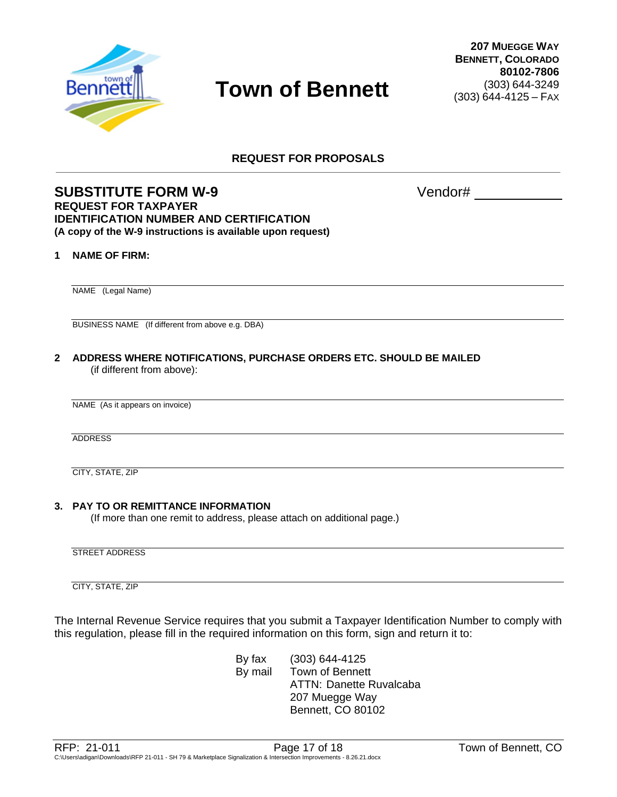

**REQUEST FOR PROPOSALS**

### **SUBSTITUTE FORM W-9** Vendor# **REQUEST FOR TAXPAYER IDENTIFICATION NUMBER AND CERTIFICATION (A copy of the W-9 instructions is available upon request)**

#### **1 NAME OF FIRM:**

NAME (Legal Name)

BUSINESS NAME (If different from above e.g. DBA)

**2 ADDRESS WHERE NOTIFICATIONS, PURCHASE ORDERS ETC. SHOULD BE MAILED** (if different from above):

NAME (As it appears on invoice)

ADDRESS

CITY, STATE, ZIP

#### **3. PAY TO OR REMITTANCE INFORMATION**

(If more than one remit to address, please attach on additional page.)

STREET ADDRESS

CITY, STATE, ZIP

The Internal Revenue Service requires that you submit a Taxpayer Identification Number to comply with this regulation, please fill in the required information on this form, sign and return it to:

> By fax (303) 644-4125 By mail Town of Bennett ATTN: Danette Ruvalcaba 207 Muegge Way Bennett, CO 80102